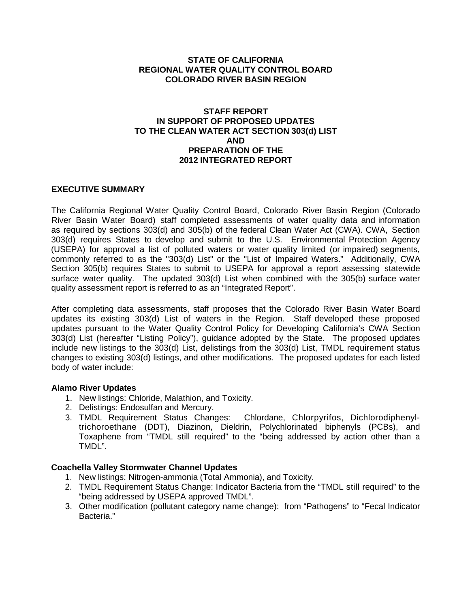### **STATE OF CALIFORNIA REGIONAL WATER QUALITY CONTROL BOARD COLORADO RIVER BASIN REGION**

#### **STAFF REPORT IN SUPPORT OF PROPOSED UPDATES TO THE CLEAN WATER ACT SECTION 303(d) LIST AND PREPARATION OF THE 2012 INTEGRATED REPORT**

### **EXECUTIVE SUMMARY**

The California Regional Water Quality Control Board, Colorado River Basin Region (Colorado River Basin Water Board) staff completed assessments of water quality data and information as required by sections 303(d) and 305(b) of the federal Clean Water Act (CWA). CWA, Section 303(d) requires States to develop and submit to the U.S. Environmental Protection Agency (USEPA) for approval a list of polluted waters or water quality limited (or impaired) segments, commonly referred to as the "303(d) List" or the "List of Impaired Waters." Additionally, CWA Section 305(b) requires States to submit to USEPA for approval a report assessing statewide surface water quality. The updated 303(d) List when combined with the 305(b) surface water quality assessment report is referred to as an "Integrated Report".

After completing data assessments, staff proposes that the Colorado River Basin Water Board updates its existing 303(d) List of waters in the Region. Staff developed these proposed updates pursuant to the Water Quality Control Policy for Developing California's CWA Section 303(d) List (hereafter "Listing Policy"), guidance adopted by the State. The proposed updates include new listings to the 303(d) List, delistings from the 303(d) List, TMDL requirement status changes to existing 303(d) listings, and other modifications. The proposed updates for each listed body of water include:

### **Alamo River Updates**

- 1. New listings: Chloride, Malathion, and Toxicity.
- 2. Delistings: Endosulfan and Mercury.
- 3. TMDL Requirement Status Changes: Chlordane, Chlorpyrifos, Dichlorodiphenyltrichoroethane (DDT), Diazinon, Dieldrin, Polychlorinated biphenyls (PCBs), and Toxaphene from "TMDL still required" to the "being addressed by action other than a TMDL".

### **Coachella Valley Stormwater Channel Updates**

- 1. New listings: Nitrogen-ammonia (Total Ammonia), and Toxicity.
- 2. TMDL Requirement Status Change: Indicator Bacteria from the "TMDL still required" to the "being addressed by USEPA approved TMDL".
- 3. Other modification (pollutant category name change): from "Pathogens" to "Fecal Indicator Bacteria."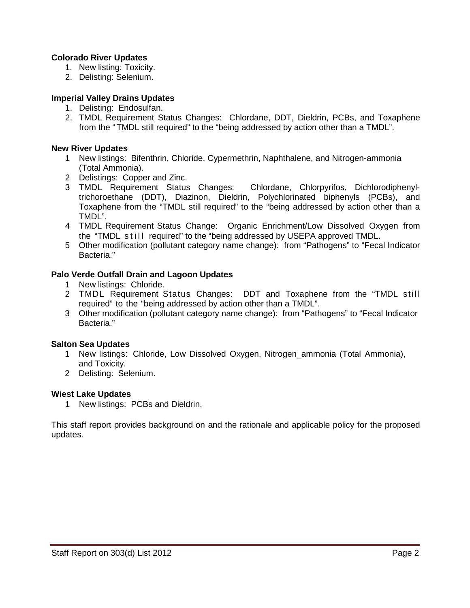### **Colorado River Updates**

- 1. New listing: Toxicity.
- 2. Delisting: Selenium.

#### **Imperial Valley Drains Updates**

- 1. Delisting: Endosulfan.
- 2. TMDL Requirement Status Changes: Chlordane, DDT, Dieldrin, PCBs, and Toxaphene from the "TMDL still required" to the "being addressed by action other than a TMDL".

#### **New River Updates**

- 1 New listings: Bifenthrin, Chloride, Cypermethrin, Naphthalene, and Nitrogen-ammonia (Total Ammonia).
- 2 Delistings: Copper and Zinc.
- 3 TMDL Requirement Status Changes: Chlordane, Chlorpyrifos, Dichlorodiphenyltrichoroethane (DDT), Diazinon, Dieldrin, Polychlorinated biphenyls (PCBs), and Toxaphene from the "TMDL still required" to the "being addressed by action other than a TMDL".
- 4 TMDL Requirement Status Change: Organic Enrichment/Low Dissolved Oxygen from the "TMDL still required" to the "being addressed by USEPA approved TMDL.
- 5 Other modification (pollutant category name change): from "Pathogens" to "Fecal Indicator Bacteria."

#### **Palo Verde Outfall Drain and Lagoon Updates**

- 1 New listings: Chloride.
- 2 TMDL Requirement Status Changes: DDT and Toxaphene from the "TMDL still required" to the "being addressed by action other than a TMDL".
- 3 Other modification (pollutant category name change): from "Pathogens" to "Fecal Indicator Bacteria."

#### **Salton Sea Updates**

- 1 New listings: Chloride, Low Dissolved Oxygen, Nitrogen\_ammonia (Total Ammonia), and Toxicity.
- 2 Delisting: Selenium.

#### **Wiest Lake Updates**

1 New listings: PCBs and Dieldrin.

This staff report provides background on and the rationale and applicable policy for the proposed updates.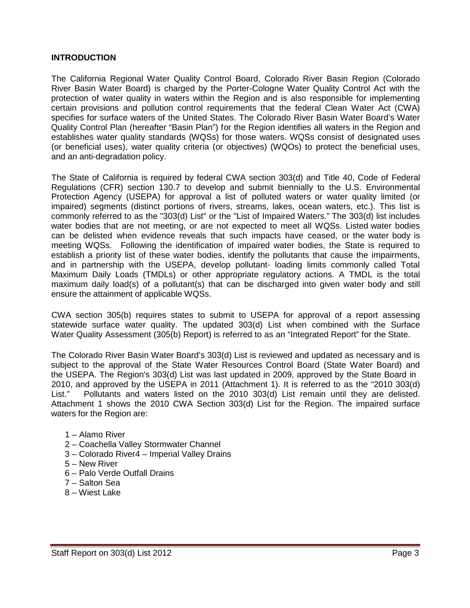#### **INTRODUCTION**

The California Regional Water Quality Control Board, Colorado River Basin Region (Colorado River Basin Water Board) is charged by the Porter-Cologne Water Quality Control Act with the protection of water quality in waters within the Region and is also responsible for implementing certain provisions and pollution control requirements that the federal Clean Water Act (CWA) specifies for surface waters of the United States. The Colorado River Basin Water Board's Water Quality Control Plan (hereafter "Basin Plan") for the Region identifies all waters in the Region and establishes water quality standards (WQSs) for those waters. WQSs consist of designated uses (or beneficial uses), water quality criteria (or objectives) (WQOs) to protect the beneficial uses, and an anti-degradation policy.

The State of California is required by federal CWA section 303(d) and Title 40, Code of Federal Regulations (CFR) section 130.7 to develop and submit biennially to the U.S. Environmental Protection Agency (USEPA) for approval a list of polluted waters or water quality limited (or impaired) segments (distinct portions of rivers, streams, lakes, ocean waters, etc.). This list is commonly referred to as the "303(d) List" or the "List of Impaired Waters." The 303(d) list includes water bodies that are not meeting, or are not expected to meet all WQSs. Listed water bodies can be delisted when evidence reveals that such impacts have ceased, or the water body is meeting WQSs. Following the identification of impaired water bodies, the State is required to establish a priority list of these water bodies, identify the pollutants that cause the impairments, and in partnership with the USEPA, develop pollutant- loading limits commonly called Total Maximum Daily Loads (TMDLs) or other appropriate regulatory actions. A TMDL is the total maximum daily load(s) of a pollutant(s) that can be discharged into given water body and still ensure the attainment of applicable WQSs.

CWA section 305(b) requires states to submit to USEPA for approval of a report assessing statewide surface water quality. The updated 303(d) List when combined with the Surface Water Quality Assessment (305(b) Report) is referred to as an "Integrated Report" for the State.

The Colorado River Basin Water Board's 303(d) List is reviewed and updated as necessary and is subject to the approval of the State Water Resources Control Board (State Water Board) and the USEPA. The Region's 303(d) List was last updated in 2009, approved by the State Board in 2010, and approved by the USEPA in 2011 (Attachment 1). It is referred to as the "2010 303(d) List." Pollutants and waters listed on the 2010 303(d) List remain until they are delisted. Attachment 1 shows the 2010 CWA Section 303(d) List for the Region. The impaired surface waters for the Region are:

- 1 Alamo River
- 2 Coachella Valley Stormwater Channel
- 3 Colorado River4 Imperial Valley Drains
- 5 New River
- 6 Palo Verde Outfall Drains
- 7 Salton Sea
- 8 Wiest Lake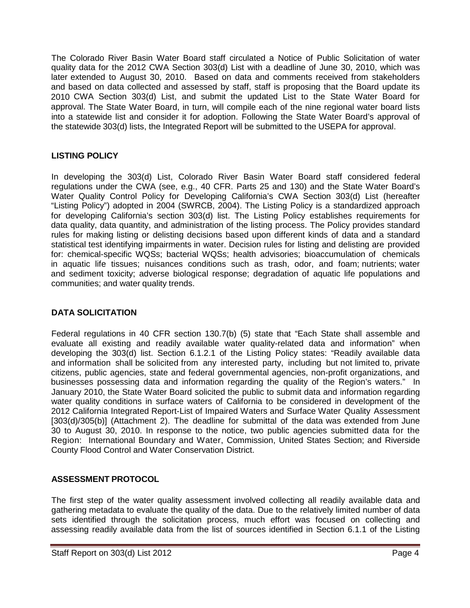The Colorado River Basin Water Board staff circulated a Notice of Public Solicitation of water quality data for the 2012 CWA Section 303(d) List with a deadline of June 30, 2010, which was later extended to August 30, 2010. Based on data and comments received from stakeholders and based on data collected and assessed by staff, staff is proposing that the Board update its 2010 CWA Section 303(d) List, and submit the updated List to the State Water Board for approval. The State Water Board, in turn, will compile each of the nine regional water board lists into a statewide list and consider it for adoption. Following the State Water Board's approval of the statewide 303(d) lists, the Integrated Report will be submitted to the USEPA for approval.

## **LISTING POLICY**

In developing the 303(d) List, Colorado River Basin Water Board staff considered federal regulations under the CWA (see, e.g., 40 CFR. Parts 25 and 130) and the State Water Board's Water Quality Control Policy for Developing California's CWA Section 303(d) List (hereafter "Listing Policy") adopted in 2004 (SWRCB, 2004). The Listing Policy is a standardized approach for developing California's section 303(d) list. The Listing Policy establishes requirements for data quality, data quantity, and administration of the listing process. The Policy provides standard rules for making listing or delisting decisions based upon different kinds of data and a standard statistical test identifying impairments in water. Decision rules for listing and delisting are provided for: chemical-specific WQSs; bacterial WQSs; health advisories; bioaccumulation of chemicals in aquatic life tissues; nuisances conditions such as trash, odor, and foam; nutrients; water and sediment toxicity; adverse biological response; degradation of aquatic life populations and communities; and water quality trends.

## **DATA SOLICITATION**

Federal regulations in 40 CFR section 130.7(b) (5) state that "Each State shall assemble and evaluate all existing and readily available water quality-related data and information" when developing the 303(d) list. Section 6.1.2.1 of the Listing Policy states: "Readily available data and information shall be solicited from any interested party, including but not limited to, private citizens, public agencies, state and federal governmental agencies, non-profit organizations, and businesses possessing data and information regarding the quality of the Region's waters." In January 2010, the State Water Board solicited the public to submit data and information regarding water quality conditions in surface waters of California to be considered in development of the 2012 California Integrated Report-List of Impaired Waters and Surface Water Quality Assessment [303(d)/305(b)] (Attachment 2). The deadline for submittal of the data was extended from June 30 to August 30, 2010. In response to the notice, two public agencies submitted data for the Region: International Boundary and Water, Commission, United States Section; and Riverside County Flood Control and Water Conservation District.

# **ASSESSMENT PROTOCOL**

The first step of the water quality assessment involved collecting all readily available data and gathering metadata to evaluate the quality of the data. Due to the relatively limited number of data sets identified through the solicitation process, much effort was focused on collecting and assessing readily available data from the list of sources identified in Section 6.1.1 of the Listing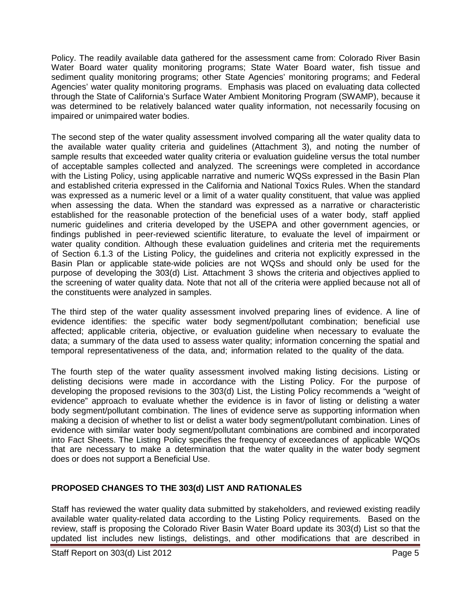Policy. The readily available data gathered for the assessment came from: Colorado River Basin Water Board water quality monitoring programs; State Water Board water, fish tissue and sediment quality monitoring programs; other State Agencies' monitoring programs; and Federal Agencies' water quality monitoring programs. Emphasis was placed on evaluating data collected through the State of California's Surface Water Ambient Monitoring Program (SWAMP), because it was determined to be relatively balanced water quality information, not necessarily focusing on impaired or unimpaired water bodies.

The second step of the water quality assessment involved comparing all the water quality data to the available water quality criteria and guidelines (Attachment 3), and noting the number of sample results that exceeded water quality criteria or evaluation guideline versus the total number of acceptable samples collected and analyzed. The screenings were completed in accordance with the Listing Policy, using applicable narrative and numeric WQSs expressed in the Basin Plan and established criteria expressed in the California and National Toxics Rules. When the standard was expressed as a numeric level or a limit of a water quality constituent, that value was applied when assessing the data. When the standard was expressed as a narrative or characteristic established for the reasonable protection of the beneficial uses of a water body, staff applied numeric guidelines and criteria developed by the USEPA and other government agencies, or findings published in peer-reviewed scientific literature, to evaluate the level of impairment or water quality condition. Although these evaluation guidelines and criteria met the requirements of Section 6.1.3 of the Listing Policy, the guidelines and criteria not explicitly expressed in the Basin Plan or applicable state-wide policies are not WQSs and should only be used for the purpose of developing the 303(d) List. Attachment 3 shows the criteria and objectives applied to the screening of water quality data. Note that not all of the criteria were applied because not all of the constituents were analyzed in samples.

The third step of the water quality assessment involved preparing lines of evidence. A line of evidence identifies: the specific water body segment/pollutant combination; beneficial use affected; applicable criteria, objective, or evaluation guideline when necessary to evaluate the data; a summary of the data used to assess water quality; information concerning the spatial and temporal representativeness of the data, and; information related to the quality of the data.

The fourth step of the water quality assessment involved making listing decisions. Listing or delisting decisions were made in accordance with the Listing Policy. For the purpose of developing the proposed revisions to the 303(d) List, the Listing Policy recommends a "weight of evidence" approach to evaluate whether the evidence is in favor of listing or delisting a water body segment/pollutant combination. The lines of evidence serve as supporting information when making a decision of whether to list or delist a water body segment/pollutant combination. Lines of evidence with similar water body segment/pollutant combinations are combined and incorporated into Fact Sheets. The Listing Policy specifies the frequency of exceedances of applicable WQOs that are necessary to make a determination that the water quality in the water body segment does or does not support a Beneficial Use.

### **PROPOSED CHANGES TO THE 303(d) LIST AND RATIONALES**

Staff has reviewed the water quality data submitted by stakeholders, and reviewed existing readily available water quality-related data according to the Listing Policy requirements. Based on the review, staff is proposing the Colorado River Basin Water Board update its 303(d) List so that the updated list includes new listings, delistings, and other modifications that are described in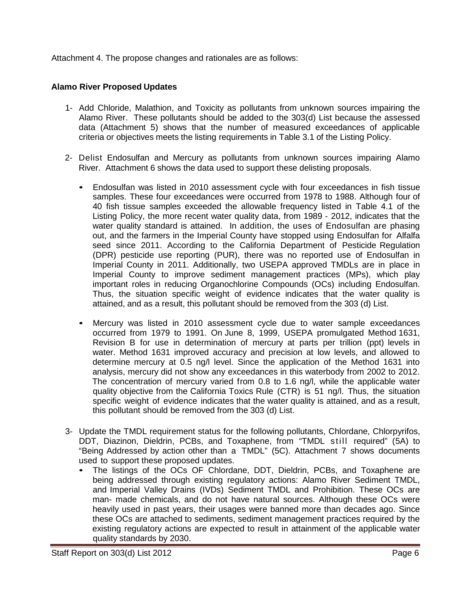Attachment 4. The propose changes and rationales are as follows:

## **Alamo River Proposed Updates**

- 1- Add Chloride, Malathion, and Toxicity as pollutants from unknown sources impairing the Alamo River. These pollutants should be added to the 303(d) List because the assessed data (Attachment 5) shows that the number of measured exceedances of applicable criteria or objectives meets the listing requirements in Table 3.1 of the Listing Policy.
- 2- Delist Endosulfan and Mercury as pollutants from unknown sources impairing Alamo River. Attachment 6 shows the data used to support these delisting proposals.
	- Endosulfan was listed in 2010 assessment cycle with four exceedances in fish tissue samples. These four exceedances were occurred from 1978 to 1988. Although four of 40 fish tissue samples exceeded the allowable frequency listed in Table 4.1 of the Listing Policy, the more recent water quality data, from 1989 - 2012, indicates that the water quality standard is attained. In addition, the uses of Endosulfan are phasing out, and the farmers in the Imperial County have stopped using Endosulfan for Alfalfa seed since 2011. According to the California Department of Pesticide Regulation (DPR) pesticide use reporting (PUR), there was no reported use of Endosulfan in Imperial County in 2011. Additionally, two USEPA approved TMDLs are in place in Imperial County to improve sediment management practices (MPs), which play important roles in reducing Organochlorine Compounds (OCs) including Endosulfan. Thus, the situation specific weight of evidence indicates that the water quality is attained, and as a result, this pollutant should be removed from the 303 (d) List.
	- Mercury was listed in 2010 assessment cycle due to water sample exceedances occurred from 1979 to 1991. On June 8, 1999, USEPA promulgated Method 1631, Revision B for use in determination of mercury at parts per trillion (ppt) levels in water. Method 1631 improved accuracy and precision at low levels, and allowed to determine mercury at 0.5 ng/l level. Since the application of the Method 1631 into analysis, mercury did not show any exceedances in this waterbody from 2002 to 2012. The concentration of mercury varied from 0.8 to 1.6 ng/l, while the applicable water quality objective from the California Toxics Rule (CTR) is 51 ng/l. Thus, the situation specific weight of evidence indicates that the water quality is attained, and as a result, this pollutant should be removed from the 303 (d) List.
- 3- Update the TMDL requirement status for the following pollutants, Chlordane, Chlorpyrifos, DDT, Diazinon, Dieldrin, PCBs, and Toxaphene, from "TMDL still required" (5A) to "Being Addressed by action other than a TMDL" (5C). Attachment 7 shows documents used to support these proposed updates.
	- The listings of the OCs OF Chlordane, DDT, Dieldrin, PCBs, and Toxaphene are being addressed through existing regulatory actions: Alamo River Sediment TMDL, and Imperial Valley Drains (IVDs) Sediment TMDL and Prohibition. These OCs are man- made chemicals, and do not have natural sources. Although these OCs were heavily used in past years, their usages were banned more than decades ago. Since these OCs are attached to sediments, sediment management practices required by the existing regulatory actions are expected to result in attainment of the applicable water quality standards by 2030.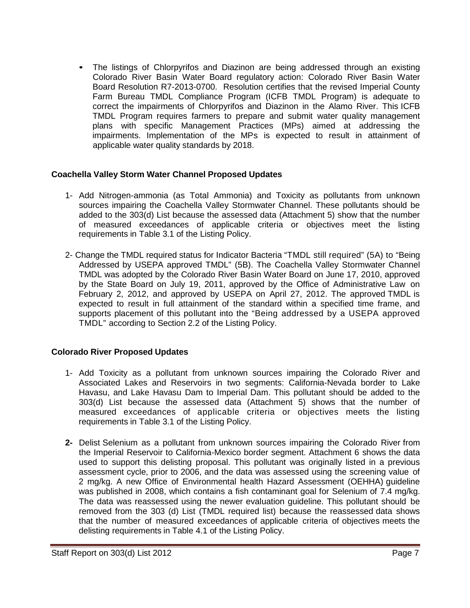The listings of Chlorpyrifos and Diazinon are being addressed through an existing Colorado River Basin Water Board regulatory action: Colorado River Basin Water Board Resolution R7-2013-0700. Resolution certifies that the revised Imperial County Farm Bureau TMDL Compliance Program (ICFB TMDL Program) is adequate to correct the impairments of Chlorpyrifos and Diazinon in the Alamo River. This ICFB TMDL Program requires farmers to prepare and submit water quality management plans with specific Management Practices (MPs) aimed at addressing the impairments. Implementation of the MPs is expected to result in attainment of applicable water quality standards by 2018.

### **Coachella Valley Storm Water Channel Proposed Updates**

- 1- Add Nitrogen-ammonia (as Total Ammonia) and Toxicity as pollutants from unknown sources impairing the Coachella Valley Stormwater Channel. These pollutants should be added to the 303(d) List because the assessed data (Attachment 5) show that the number of measured exceedances of applicable criteria or objectives meet the listing requirements in Table 3.1 of the Listing Policy.
- 2- Change the TMDL required status for Indicator Bacteria "TMDL still required" (5A) to "Being Addressed by USEPA approved TMDL" (5B). The Coachella Valley Stormwater Channel TMDL was adopted by the Colorado River Basin Water Board on June 17, 2010, approved by the State Board on July 19, 2011, approved by the Office of Administrative Law on February 2, 2012, and approved by USEPA on April 27, 2012. The approved TMDL is expected to result in full attainment of the standard within a specified time frame, and supports placement of this pollutant into the "Being addressed by a USEPA approved TMDL" according to Section 2.2 of the Listing Policy.

## **Colorado River Proposed Updates**

- 1- Add Toxicity as a pollutant from unknown sources impairing the Colorado River and Associated Lakes and Reservoirs in two segments: California-Nevada border to Lake Havasu, and Lake Havasu Dam to Imperial Dam. This pollutant should be added to the 303(d) List because the assessed data (Attachment 5) shows that the number of measured exceedances of applicable criteria or objectives meets the listing requirements in Table 3.1 of the Listing Policy.
- **2-** Delist Selenium as a pollutant from unknown sources impairing the Colorado River from the Imperial Reservoir to California-Mexico border segment. Attachment 6 shows the data used to support this delisting proposal. This pollutant was originally listed in a previous assessment cycle, prior to 2006, and the data was assessed using the screening value of 2 mg/kg. A new Office of Environmental health Hazard Assessment (OEHHA) guideline was published in 2008, which contains a fish contaminant goal for Selenium of 7.4 mg/kg. The data was reassessed using the newer evaluation guideline. This pollutant should be removed from the 303 (d) List (TMDL required list) because the reassessed data shows that the number of measured exceedances of applicable criteria of objectives meets the delisting requirements in Table 4.1 of the Listing Policy.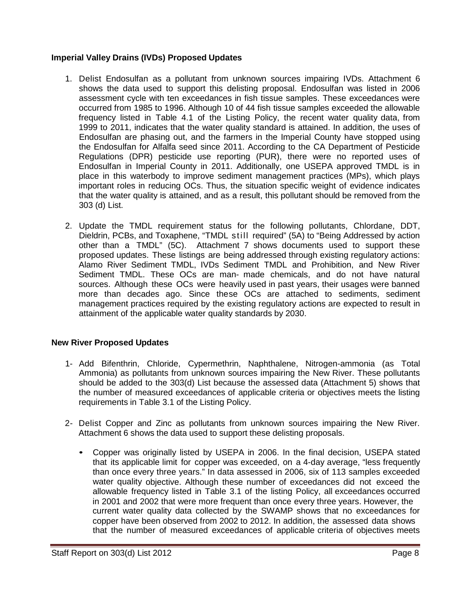### **Imperial Valley Drains (IVDs) Proposed Updates**

- 1. Delist Endosulfan as a pollutant from unknown sources impairing IVDs. Attachment 6 shows the data used to support this delisting proposal. Endosulfan was listed in 2006 assessment cycle with ten exceedances in fish tissue samples. These exceedances were occurred from 1985 to 1996. Although 10 of 44 fish tissue samples exceeded the allowable frequency listed in Table 4.1 of the Listing Policy, the recent water quality data, from 1999 to 2011, indicates that the water quality standard is attained. In addition, the uses of Endosulfan are phasing out, and the farmers in the Imperial County have stopped using the Endosulfan for Alfalfa seed since 2011. According to the CA Department of Pesticide Regulations (DPR) pesticide use reporting (PUR), there were no reported uses of Endosulfan in Imperial County in 2011. Additionally, one USEPA approved TMDL is in place in this waterbody to improve sediment management practices (MPs), which plays important roles in reducing OCs. Thus, the situation specific weight of evidence indicates that the water quality is attained, and as a result, this pollutant should be removed from the 303 (d) List.
- 2. Update the TMDL requirement status for the following pollutants, Chlordane, DDT, Dieldrin, PCBs, and Toxaphene, "TMDL still required" (5A) to "Being Addressed by action other than a TMDL" (5C). Attachment 7 shows documents used to support these proposed updates. These listings are being addressed through existing regulatory actions: Alamo River Sediment TMDL, IVDs Sediment TMDL and Prohibition, and New River Sediment TMDL. These OCs are man- made chemicals, and do not have natural sources. Although these OCs were heavily used in past years, their usages were banned more than decades ago. Since these OCs are attached to sediments, sediment management practices required by the existing regulatory actions are expected to result in attainment of the applicable water quality standards by 2030.

## **New River Proposed Updates**

- 1- Add Bifenthrin, Chloride, Cypermethrin, Naphthalene, Nitrogen-ammonia (as Total Ammonia) as pollutants from unknown sources impairing the New River. These pollutants should be added to the 303(d) List because the assessed data (Attachment 5) shows that the number of measured exceedances of applicable criteria or objectives meets the listing requirements in Table 3.1 of the Listing Policy.
- 2- Delist Copper and Zinc as pollutants from unknown sources impairing the New River. Attachment 6 shows the data used to support these delisting proposals.
	- Copper was originally listed by USEPA in 2006. In the final decision, USEPA stated that its applicable limit for copper was exceeded, on a 4-day average, "less frequently than once every three years." In data assessed in 2006, six of 113 samples exceeded water quality objective. Although these number of exceedances did not exceed the allowable frequency listed in Table 3.1 of the listing Policy, all exceedances occurred in 2001 and 2002 that were more frequent than once every three years. However, the current water quality data collected by the SWAMP shows that no exceedances for copper have been observed from 2002 to 2012. In addition, the assessed data shows that the number of measured exceedances of applicable criteria of objectives meets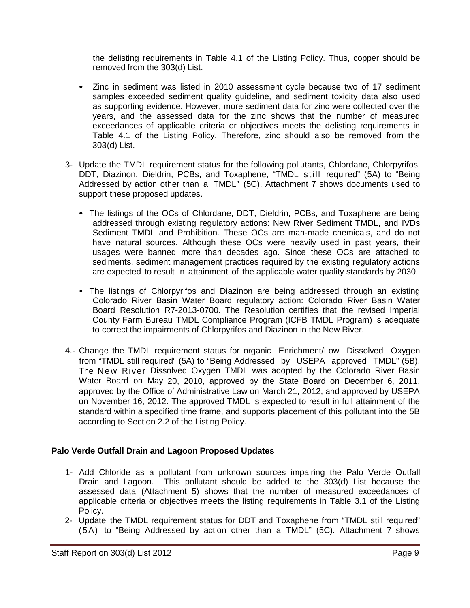the delisting requirements in Table 4.1 of the Listing Policy. Thus, copper should be removed from the 303(d) List.

- Zinc in sediment was listed in 2010 assessment cycle because two of 17 sediment samples exceeded sediment quality guideline, and sediment toxicity data also used as supporting evidence. However, more sediment data for zinc were collected over the years, and the assessed data for the zinc shows that the number of measured exceedances of applicable criteria or objectives meets the delisting requirements in Table 4.1 of the Listing Policy. Therefore, zinc should also be removed from the 303(d) List.
- 3- Update the TMDL requirement status for the following pollutants, Chlordane, Chlorpyrifos, DDT, Diazinon, Dieldrin, PCBs, and Toxaphene, "TMDL still required" (5A) to "Being Addressed by action other than a TMDL" (5C). Attachment 7 shows documents used to support these proposed updates.
	- The listings of the OCs of Chlordane, DDT, Dieldrin, PCBs, and Toxaphene are being addressed through existing regulatory actions: New River Sediment TMDL, and IVDs Sediment TMDL and Prohibition. These OCs are man-made chemicals, and do not have natural sources. Although these OCs were heavily used in past years, their usages were banned more than decades ago. Since these OCs are attached to sediments, sediment management practices required by the existing regulatory actions are expected to result in attainment of the applicable water quality standards by 2030.
	- The listings of Chlorpyrifos and Diazinon are being addressed through an existing Colorado River Basin Water Board regulatory action: Colorado River Basin Water Board Resolution R7-2013-0700. The Resolution certifies that the revised Imperial County Farm Bureau TMDL Compliance Program (ICFB TMDL Program) is adequate to correct the impairments of Chlorpyrifos and Diazinon in the New River.
- 4.- Change the TMDL requirement status for organic Enrichment/Low Dissolved Oxygen from "TMDL still required" (5A) to "Being Addressed by USEPA approved TMDL" (5B). The New River Dissolved Oxygen TMDL was adopted by the Colorado River Basin Water Board on May 20, 2010, approved by the State Board on December 6, 2011, approved by the Office of Administrative Law on March 21, 2012, and approved by USEPA on November 16, 2012. The approved TMDL is expected to result in full attainment of the standard within a specified time frame, and supports placement of this pollutant into the 5B according to Section 2.2 of the Listing Policy.

## **Palo Verde Outfall Drain and Lagoon Proposed Updates**

- 1- Add Chloride as a pollutant from unknown sources impairing the Palo Verde Outfall Drain and Lagoon. This pollutant should be added to the 303(d) List because the assessed data (Attachment 5) shows that the number of measured exceedances of applicable criteria or objectives meets the listing requirements in Table 3.1 of the Listing Policy.
- 2- Update the TMDL requirement status for DDT and Toxaphene from "TMDL still required" (5A) to "Being Addressed by action other than a TMDL" (5C). Attachment 7 shows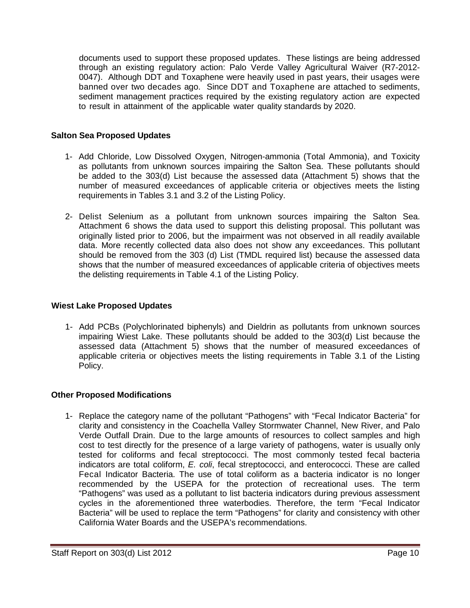documents used to support these proposed updates. These listings are being addressed through an existing regulatory action: Palo Verde Valley Agricultural Waiver (R7-2012- 0047). Although DDT and Toxaphene were heavily used in past years, their usages were banned over two decades ago. Since DDT and Toxaphene are attached to sediments, sediment management practices required by the existing regulatory action are expected to result in attainment of the applicable water quality standards by 2020.

### **Salton Sea Proposed Updates**

- 1- Add Chloride, Low Dissolved Oxygen, Nitrogen-ammonia (Total Ammonia), and Toxicity as pollutants from unknown sources impairing the Salton Sea. These pollutants should be added to the 303(d) List because the assessed data (Attachment 5) shows that the number of measured exceedances of applicable criteria or objectives meets the listing requirements in Tables 3.1 and 3.2 of the Listing Policy.
- 2- Delist Selenium as a pollutant from unknown sources impairing the Salton Sea. Attachment 6 shows the data used to support this delisting proposal. This pollutant was originally listed prior to 2006, but the impairment was not observed in all readily available data. More recently collected data also does not show any exceedances. This pollutant should be removed from the 303 (d) List (TMDL required list) because the assessed data shows that the number of measured exceedances of applicable criteria of objectives meets the delisting requirements in Table 4.1 of the Listing Policy.

### **Wiest Lake Proposed Updates**

1- Add PCBs (Polychlorinated biphenyls) and Dieldrin as pollutants from unknown sources impairing Wiest Lake. These pollutants should be added to the 303(d) List because the assessed data (Attachment 5) shows that the number of measured exceedances of applicable criteria or objectives meets the listing requirements in Table 3.1 of the Listing Policy.

### **Other Proposed Modifications**

1- Replace the category name of the pollutant "Pathogens" with "Fecal Indicator Bacteria" for clarity and consistency in the Coachella Valley Stormwater Channel, New River, and Palo Verde Outfall Drain. Due to the large amounts of resources to collect samples and high cost to test directly for the presence of a large variety of pathogens, water is usually only tested for coliforms and fecal streptococci. The most commonly tested fecal bacteria indicators are total coliform, *E. coli*, fecal streptococci, and enterococci. These are called Fecal Indicator Bacteria. The use of total coliform as a bacteria indicator is no longer recommended by the USEPA for the protection of recreational uses. The term "Pathogens" was used as a pollutant to list bacteria indicators during previous assessment cycles in the aforementioned three waterbodies. Therefore, the term "Fecal Indicator Bacteria" will be used to replace the term "Pathogens" for clarity and consistency with other California Water Boards and the USEPA's recommendations.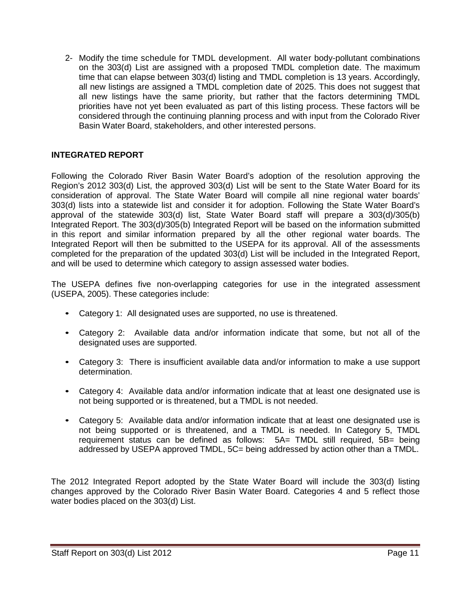2- Modify the time schedule for TMDL development. All water body-pollutant combinations on the 303(d) List are assigned with a proposed TMDL completion date. The maximum time that can elapse between 303(d) listing and TMDL completion is 13 years. Accordingly, all new listings are assigned a TMDL completion date of 2025. This does not suggest that all new listings have the same priority, but rather that the factors determining TMDL priorities have not yet been evaluated as part of this listing process. These factors will be considered through the continuing planning process and with input from the Colorado River Basin Water Board, stakeholders, and other interested persons.

## **INTEGRATED REPORT**

Following the Colorado River Basin Water Board's adoption of the resolution approving the Region's 2012 303(d) List, the approved 303(d) List will be sent to the State Water Board for its consideration of approval. The State Water Board will compile all nine regional water boards' 303(d) lists into a statewide list and consider it for adoption. Following the State Water Board's approval of the statewide 303(d) list, State Water Board staff will prepare a 303(d)/305(b) Integrated Report. The 303(d)/305(b) Integrated Report will be based on the information submitted in this report and similar information prepared by all the other regional water boards. The Integrated Report will then be submitted to the USEPA for its approval. All of the assessments completed for the preparation of the updated 303(d) List will be included in the Integrated Report, and will be used to determine which category to assign assessed water bodies.

The USEPA defines five non-overlapping categories for use in the integrated assessment (USEPA, 2005). These categories include:

- Category 1: All designated uses are supported, no use is threatened.
- Category 2: Available data and/or information indicate that some, but not all of the designated uses are supported.
- Category 3: There is insufficient available data and/or information to make a use support determination.
- Category 4: Available data and/or information indicate that at least one designated use is not being supported or is threatened, but a TMDL is not needed.
- Category 5: Available data and/or information indicate that at least one designated use is not being supported or is threatened, and a TMDL is needed. In Category 5, TMDL requirement status can be defined as follows: 5A= TMDL still required, 5B= being addressed by USEPA approved TMDL, 5C= being addressed by action other than a TMDL.

The 2012 Integrated Report adopted by the State Water Board will include the 303(d) listing changes approved by the Colorado River Basin Water Board. Categories 4 and 5 reflect those water bodies placed on the 303(d) List.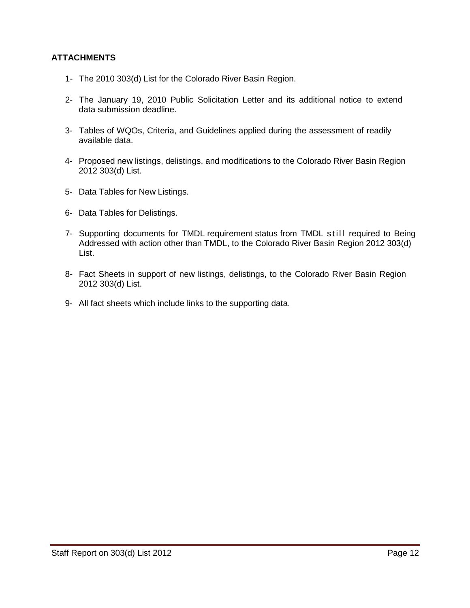### **ATTACHMENTS**

- 1- The 2010 303(d) List for the Colorado River Basin Region.
- 2- The January 19, 2010 Public Solicitation Letter and its additional notice to extend data submission deadline.
- 3- Tables of WQOs, Criteria, and Guidelines applied during the assessment of readily available data.
- 4- Proposed new listings, delistings, and modifications to the Colorado River Basin Region 2012 303(d) List.
- 5- Data Tables for New Listings.
- 6- Data Tables for Delistings.
- 7- Supporting documents for TMDL requirement status from TMDL still required to Being Addressed with action other than TMDL, to the Colorado River Basin Region 2012 303(d) List.
- 8- Fact Sheets in support of new listings, delistings, to the Colorado River Basin Region 2012 303(d) List.
- 9- All fact sheets which include links to the supporting data.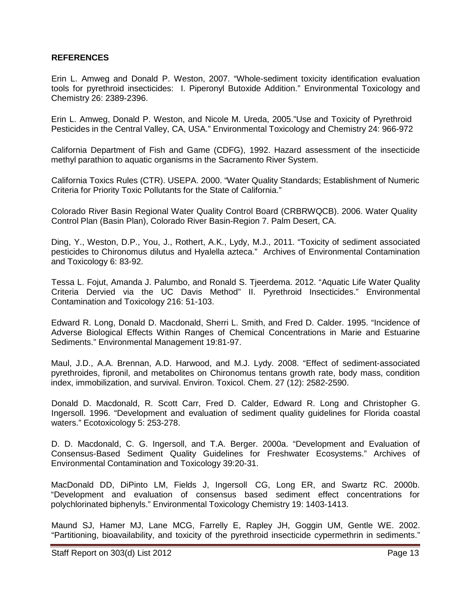### **REFERENCES**

Erin L. Amweg and Donald P. Weston, 2007. "Whole-sediment toxicity identification evaluation tools for pyrethroid insecticides: I. Piperonyl Butoxide Addition." Environmental Toxicology and Chemistry 26: 2389-2396.

Erin L. Amweg, Donald P. Weston, and Nicole M. Ureda, 2005."Use and Toxicity of Pyrethroid Pesticides in the Central Valley, CA, USA." Environmental Toxicology and Chemistry 24: 966-972

California Department of Fish and Game (CDFG), 1992. Hazard assessment of the insecticide methyl parathion to aquatic organisms in the Sacramento River System.

California Toxics Rules (CTR). USEPA. 2000. "Water Quality Standards; Establishment of Numeric Criteria for Priority Toxic Pollutants for the State of California."

Colorado River Basin Regional Water Quality Control Board (CRBRWQCB). 2006. Water Quality Control Plan (Basin Plan), Colorado River Basin-Region 7. Palm Desert, CA.

Ding, Y., Weston, D.P., You, J., Rothert, A.K., Lydy, M.J., 2011. "Toxicity of sediment associated pesticides to Chironomus dilutus and Hyalella azteca." Archives of Environmental Contamination and Toxicology 6: 83-92.

Tessa L. Fojut, Amanda J. Palumbo, and Ronald S. Tjeerdema. 2012. "Aquatic Life Water Quality Criteria Dervied via the UC Davis Method" II. Pyrethroid Insecticides." Environmental Contamination and Toxicology 216: 51-103.

Edward R. Long, Donald D. Macdonald, Sherri L. Smith, and Fred D. Calder. 1995. "Incidence of Adverse Biological Effects Within Ranges of Chemical Concentrations in Marie and Estuarine Sediments." Environmental Management 19:81-97.

Maul, J.D., A.A. Brennan, A.D. Harwood, and M.J. Lydy. 2008. "Effect of sediment-associated pyrethroides, fipronil, and metabolites on Chironomus tentans growth rate, body mass, condition index, immobilization, and survival. Environ. Toxicol. Chem. 27 (12): 2582-2590.

Donald D. Macdonald, R. Scott Carr, Fred D. Calder, Edward R. Long and Christopher G. Ingersoll. 1996. "Development and evaluation of sediment quality guidelines for Florida coastal waters." Ecotoxicology 5: 253-278.

D. D. Macdonald, C. G. Ingersoll, and T.A. Berger. 2000a. "Development and Evaluation of Consensus-Based Sediment Quality Guidelines for Freshwater Ecosystems." Archives of Environmental Contamination and Toxicology 39:20-31.

MacDonald DD, DiPinto LM, Fields J, Ingersoll CG, Long ER, and Swartz RC. 2000b. "Development and evaluation of consensus based sediment effect concentrations for polychlorinated biphenyls." Environmental Toxicology Chemistry 19: 1403-1413.

Maund SJ, Hamer MJ, Lane MCG, Farrelly E, Rapley JH, Goggin UM, Gentle WE. 2002. "Partitioning, bioavailability, and toxicity of the pyrethroid insecticide cypermethrin in sediments."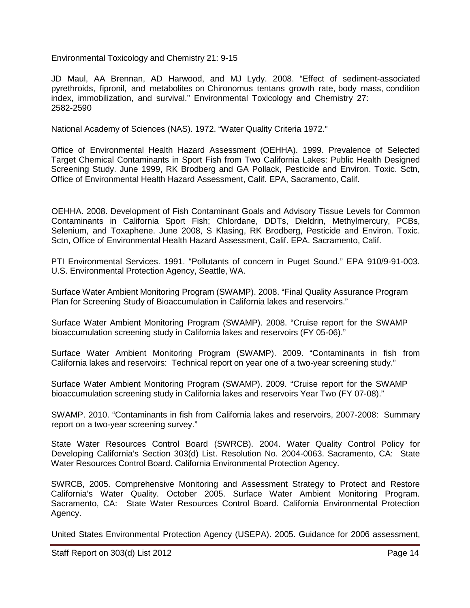Environmental Toxicology and Chemistry 21: 9-15

JD Maul, AA Brennan, AD Harwood, and MJ Lydy. 2008. "Effect of sediment-associated pyrethroids, fipronil, and metabolites on Chironomus tentans growth rate, body mass, condition index, immobilization, and survival." Environmental Toxicology and Chemistry 27: 2582-2590

National Academy of Sciences (NAS). 1972. "Water Quality Criteria 1972."

Office of Environmental Health Hazard Assessment (OEHHA). 1999. Prevalence of Selected Target Chemical Contaminants in Sport Fish from Two California Lakes: Public Health Designed Screening Study. June 1999, RK Brodberg and GA Pollack, Pesticide and Environ. Toxic. Sctn, Office of Environmental Health Hazard Assessment, Calif. EPA, Sacramento, Calif.

OEHHA. 2008. Development of Fish Contaminant Goals and Advisory Tissue Levels for Common Contaminants in California Sport Fish; Chlordane, DDTs, Dieldrin, Methylmercury, PCBs, Selenium, and Toxaphene. June 2008, S Klasing, RK Brodberg, Pesticide and Environ. Toxic. Sctn, Office of Environmental Health Hazard Assessment, Calif. EPA. Sacramento, Calif.

PTI Environmental Services. 1991. "Pollutants of concern in Puget Sound." EPA 910/9-91-003. U.S. Environmental Protection Agency, Seattle, WA.

Surface Water Ambient Monitoring Program (SWAMP). 2008. "Final Quality Assurance Program Plan for Screening Study of Bioaccumulation in California lakes and reservoirs."

Surface Water Ambient Monitoring Program (SWAMP). 2008. "Cruise report for the SWAMP bioaccumulation screening study in California lakes and reservoirs (FY 05-06)."

Surface Water Ambient Monitoring Program (SWAMP). 2009. "Contaminants in fish from California lakes and reservoirs: Technical report on year one of a two-year screening study."

Surface Water Ambient Monitoring Program (SWAMP). 2009. "Cruise report for the SWAMP bioaccumulation screening study in California lakes and reservoirs Year Two (FY 07-08)."

SWAMP. 2010. "Contaminants in fish from California lakes and reservoirs, 2007-2008: Summary report on a two-year screening survey."

State Water Resources Control Board (SWRCB). 2004. Water Quality Control Policy for Developing California's Section 303(d) List. Resolution No. 2004-0063. Sacramento, CA: State Water Resources Control Board. California Environmental Protection Agency.

SWRCB, 2005. Comprehensive Monitoring and Assessment Strategy to Protect and Restore California's Water Quality. October 2005. Surface Water Ambient Monitoring Program. Sacramento, CA: State Water Resources Control Board. California Environmental Protection Agency.

United States Environmental Protection Agency (USEPA). 2005. Guidance for 2006 assessment,